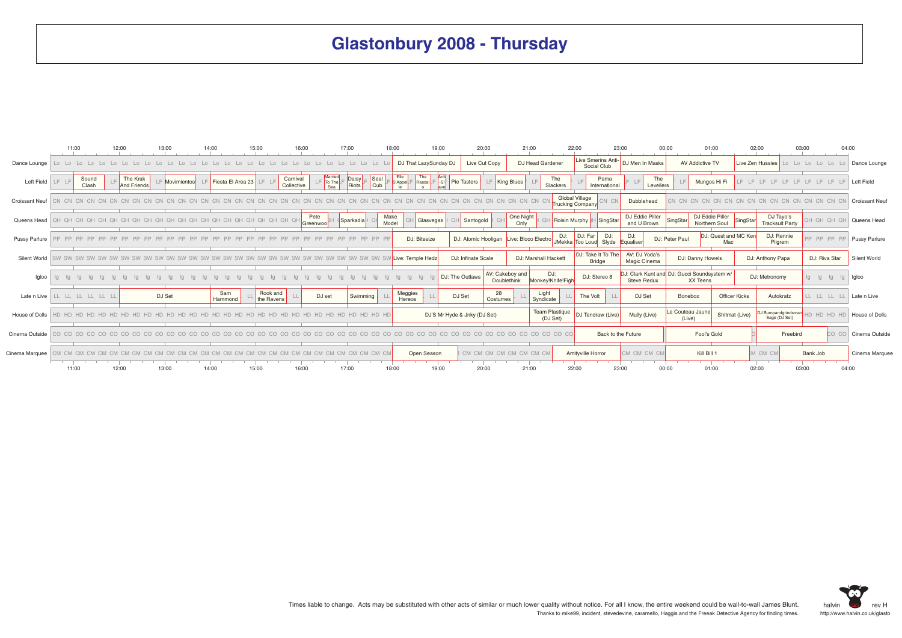## **Glastonbury 2008 - Thursday**

|                       |       | 11:00          | 12:00 |                         | 13:00       | 14:00 |                   | 15:00 |                        |                        | 16:00             |                             | 17:00          |                     | 18:00         |                                |                  | 19:00                       |                    | 20:00                        |                                | 21:00               |                                   | 22:00                |                                    | 23:00                             |                                |                  | 00:00                      | 01:00                                                   |                | 02:00                |                                     | 03:00    |                   | 04:00          |                       |
|-----------------------|-------|----------------|-------|-------------------------|-------------|-------|-------------------|-------|------------------------|------------------------|-------------------|-----------------------------|----------------|---------------------|---------------|--------------------------------|------------------|-----------------------------|--------------------|------------------------------|--------------------------------|---------------------|-----------------------------------|----------------------|------------------------------------|-----------------------------------|--------------------------------|------------------|----------------------------|---------------------------------------------------------|----------------|----------------------|-------------------------------------|----------|-------------------|----------------|-----------------------|
| Dance Lounge          |       |                |       |                         |             |       |                   |       |                        |                        |                   |                             |                |                     |               | DJ That LazySunday DJ          |                  |                             |                    | Live Cut Copy                |                                |                     | DJ Head Gardener                  |                      |                                    | Live Smerins Anti-<br>Social Club | DJ Men In Masks                |                  |                            | AV Addictive TV                                         |                | Live Zen Hussies     |                                     |          | Lo Lo Lo Lo Lo Lo |                | Dance Lounge          |
| Left Field            |       | Sound<br>Clash |       | The Krak<br>And Friends | Movimientos |       | Fiesta El Area 23 |       |                        | Carnival<br>Collective |                   | Married<br>LF To The<br>Sea | Daisy<br>Riots | Seal<br>$\vert$ Cub |               | Elle<br>S'Appel <sub>L</sub> F | The<br>Rascal    | Anti<br>$\left  -S \right $ | Pie Tasters        |                              | King Blues                     |                     | The<br>Slackers                   |                      |                                    | Pama<br>International             |                                | The<br>Levellers |                            | Mungos Hi Fi                                            |                |                      |                                     |          |                   |                | Left Field            |
| <b>Croissant Neuf</b> |       |                |       |                         |             |       |                   |       |                        |                        |                   |                             |                |                     |               |                                |                  |                             |                    |                              |                                |                     |                                   |                      | Global Village<br>Trucking Company | CN.                               | Dubblehead                     |                  |                            |                                                         |                |                      |                                     |          |                   |                | <b>Croissant Neuf</b> |
| Queens Head           |       |                |       |                         |             |       |                   |       |                        |                        | Pete<br>Greenwool |                             | Sparkadia      |                     | Make<br>Model |                                | <b>Glasvegas</b> |                             |                    | Santogold                    |                                | One Night<br>Only   |                                   | Roisin Murphy        |                                    | SingStar                          | DJ Eddie Piller<br>and U Brown |                  | SingStar                   | DJ Eddie Piller<br>Northern Soul                        |                | SingStar             | DJ Tayo's<br><b>Tracksuit Party</b> |          | HO HO HO          |                | Queens Head           |
| Pussy Parlure         |       |                |       |                         |             |       |                   |       |                        |                        |                   |                             |                |                     |               |                                | DJ: Bitesize     |                             |                    | DJ: Atomic Hooligan          |                                | Live: Bloco Electro |                                   | DJ:<br><b>JMekka</b> | DJ: Far                            | DJ:<br>Too Loud Slyde             | DJ:<br>Equaliser               |                  | DJ: Peter Paul             |                                                         | Mac            | DJ: Quest and MC Ken | DJ: Rennie<br>Pilgrem               |          | PP PP PP PP       |                | Pussy Parlure         |
| Silent World          |       |                |       |                         |             |       |                   |       |                        |                        |                   |                             |                |                     |               | Live: Temple Hedz              |                  |                             | DJ: Infinate Scale |                              |                                |                     | DJ: Marshall Hackett              |                      |                                    | DJ: Take It To The<br>Bridge      | AV: DJ Yoda's<br>Magic Cinema  |                  |                            | DJ: Danny Howels                                        |                |                      | DJ: Anthony Papa                    |          | DJ: Riva Star     |                | Silent World          |
| Igloo                 |       |                |       |                         |             |       |                   |       |                        |                        |                   |                             |                |                     |               |                                |                  |                             | DJ: The Outlaws    |                              | AV: Cakeboy and<br>Doublethink |                     | DJ:<br>Monkey!Knife!Figh          |                      |                                    | DJ: Stereo 8                      | <b>Steve Redux</b>             |                  |                            | DJ: Clark Kunt and DJ: Gucci Soundsystem w/<br>XX Teens |                |                      | DJ: Metronomy                       |          | lg Ig             | lg<br>$\alpha$ | Igloo                 |
| Late n Live           |       | LL LL LL LL L  |       |                         | DJ Set      |       | Sam<br>Hammond    |       | Rook and<br>the Ravens |                        |                   | DJ set                      |                | Swimming            |               | Meggies<br>Hereos              |                  |                             | DJ Set             | 28<br>Costumes               |                                |                     | Light<br>Syndicate                |                      | The Volt                           |                                   | DJ Set                         |                  | Bonebox                    |                                                         | Officer Kicks  |                      | Autokratz                           |          | LL LL LL LL       |                | Late n Live           |
| House of Dolls        |       |                |       |                         |             |       |                   |       |                        |                        |                   |                             |                |                     |               |                                |                  |                             |                    | DJ'S Mr Hyde & Jnky (DJ Set) |                                |                     | <b>Team Plastique</b><br>(DJ Set) |                      |                                    | DJ Tendraw (Live)                 | Mully (Live)                   |                  | Le Couteau Jaune<br>(Live) |                                                         | Shitmat (Live) |                      | DJ Bumpandgrindsman                 |          | HD HD HD HD       |                | House of Dolls        |
| Cinema Outside        |       |                |       |                         |             |       |                   |       |                        |                        |                   |                             |                |                     |               |                                |                  |                             |                    |                              |                                |                     | CO CO CO                          |                      |                                    | Back to the Future                |                                |                  |                            | Fool's Gold                                             |                |                      |                                     | Freebird |                   | CO CO          | Cinema Outside        |
| Cinema Marquee        |       |                |       |                         |             |       |                   |       |                        |                        |                   |                             |                |                     |               |                                | Open Season      |                             |                    | CM CM CM CM CM CM CM CM      |                                |                     |                                   |                      | Amitvville Horror                  |                                   | CM CM CM CM                    |                  |                            | Kill Bill 1                                             |                |                      | M CM CM                             |          | Bank Job          |                | Cinema Marquee        |
|                       | 11:00 |                | 12:00 |                         | 13:00       | 14:00 |                   | 15:00 |                        |                        | 16:00             |                             | 17:00          |                     | 18:00         |                                |                  | 19:00                       |                    | 20:00                        |                                | 21:00               |                                   | 22:00                |                                    | 23:00                             |                                | 00:00            |                            | 01:00                                                   |                | 02:00                |                                     | 03:00    |                   | 04:00          |                       |

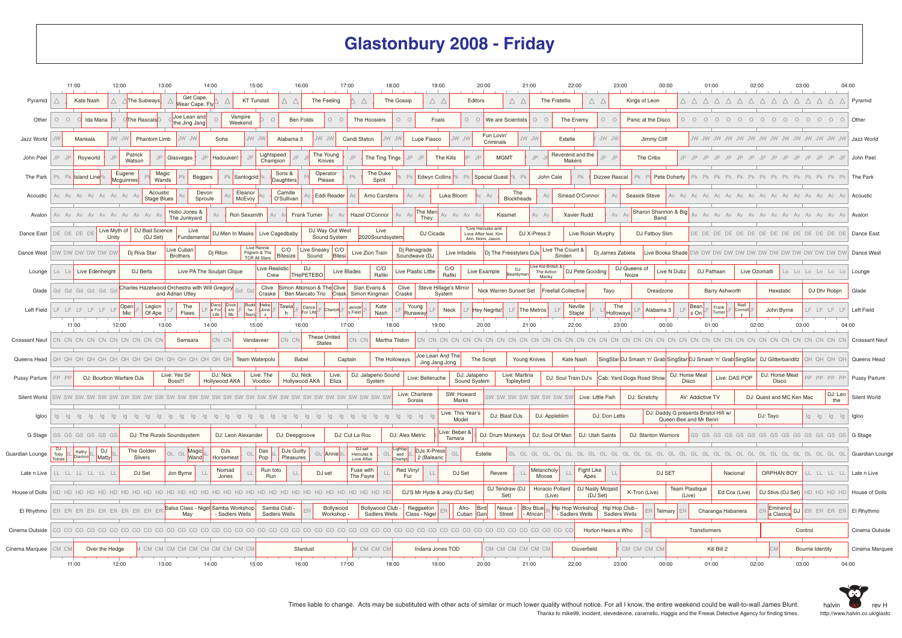## **Glastonbury 2008 - Friday**

|                       | 11:00                                      | 12:00                          | 13:00                                                             | 14:00                                | 15:00                                         | 16:00                                                | 17:00                               | 18:00                        | 19:00                                     | 20:00                                                            |                             | 21:00                               | 22:00                                       | 23:00                    | 00:00                                                         | 01:00                                                          | 02:00                      | 03:00<br>04:00                     |                       |
|-----------------------|--------------------------------------------|--------------------------------|-------------------------------------------------------------------|--------------------------------------|-----------------------------------------------|------------------------------------------------------|-------------------------------------|------------------------------|-------------------------------------------|------------------------------------------------------------------|-----------------------------|-------------------------------------|---------------------------------------------|--------------------------|---------------------------------------------------------------|----------------------------------------------------------------|----------------------------|------------------------------------|-----------------------|
| Pyramid               | Kate Nash                                  | The Subways                    | Get Cape.<br>Wear Cape. Fly                                       |                                      | <b>KT Tunstall</b>                            | Λ<br>The Feeling<br>$\triangle$                      | $\wedge$                            | The Gossip                   | ΔΔ                                        | Editors                                                          | ΔΔ                          | The Fratellis                       | Δ.<br>$\triangle$                           | Kings of Leon            |                                                               | Δ Δ Δ Δ Δ Δ Δ Δ Δ Δ Δ Δ Δ                                      |                            |                                    | Pyramid               |
| Other                 | $O$ $O$<br>Ida Maria                       | <b>CThe Rascals</b>            | Joe Lean and<br>the Jing Jang                                     | Vampire<br>Weekend                   | $\cap$                                        | Ben Folds                                            | $0\quad$<br>The Hoosiers            | 0 <sup>o</sup>               | Foals                                     |                                                                  | O O We are Scientists       | $O$ $O$                             | The Enemy<br>$\circ$                        | Panic at the Disco       | $\begin{matrix} 0 & 0 & 0 \end{matrix}$                       | $\bigcap$                                                      |                            |                                    | Other                 |
| Jazz World            | Mankala                                    | JW JW<br>Phantom Limb          | NU VVL                                                            | Soha                                 | JW JW                                         | Alabama 3<br>JW JW                                   | Candi Staton                        | JW JW                        | Lupe Fiasco                               | NU WU                                                            | Fun Lovin'<br>Criminals     | VU VV<br>Estelle                    | JW JW                                       | Jimmy Cliff              |                                                               |                                                                |                            |                                    | Jazz World            |
| John Peel             | Royworld                                   | Patrick<br>Watson              | Glasvegas                                                         | Hadouken!                            | Lightspeed<br>Champion                        | The Young<br>Knives                                  |                                     | The Ting Tings               | The Kills                                 |                                                                  | <b>MGMT</b>                 | I<br>Makers                         | Reverend and the<br>IP                      | The Cribs                | $IP$ $IP$                                                     |                                                                | IP<br>IP                   | $IP$ , $IP$ , $IP$ , $IP$ , $IP$   | John Peel             |
| The Park              | Pk Pk Island Line                          | Eugene<br>Mcguinnes            | Magic<br>Beggars<br>Wands                                         | <b>Santogold</b>                     |                                               | Sons &<br>Operator<br>Daughters<br>Please            |                                     | The Duke<br>PL<br>Spirit     | Edwyn Collins                             |                                                                  | <b>Special Guest</b>        | John Cale                           | Pk<br>Dizzee Rascal                         | ⊃k P                     | Pete Doherty                                                  |                                                                |                            |                                    | The Park              |
| Acoustic              | Ac Ac Ac Ac Ac Ac Ac                       | Acoustic<br><b>Stage Blues</b> | Devon<br>Sproule                                                  | Eleanor<br>McEvoy                    |                                               | Camille<br>Eddi Reader<br>O'Sullivan                 |                                     | Arno Carstens                | Luka Bloom<br>Ac                          |                                                                  | The<br>Blockheads           |                                     | Sinead O'Connor                             | Seasick Steve            | Ac Ac Ac                                                      |                                                                |                            | Ac Ac Ac                           | Acoustic              |
| Avalon                | Av Av Av Av Av Av Av Av Av Av A            |                                | Hobo Jones &<br>The Junkyard                                      |                                      | Ron Sexsmith                                  | Frank Turner                                         | Hazel O'Connor                      | $Av$ $Av$                    | The Men<br>They                           | Av Av Av Av                                                      | Kissmet                     | $Av$ $A$                            | Xavier Rudd                                 | Av                       | Sharon Shannon & Big<br>Band                                  | $\Delta V$ $\Delta V$                                          |                            | Av Av Av Av Av Av Av Av            | Avalon                |
| Dance East            | Live Myth of<br>DE DE DE DE<br>Unity       | DJ Bad Science<br>(DJ Set)     | Live<br>Fundamental                                               | DJ Men In Masks                      | Live Cagedbaby                                | DJ Way Out West<br>Sound System                      |                                     | Live<br>2020Soundsysten      | DJ Cicada                                 | "Live Hercules and<br>Love Affair feat. Kim<br>Ann, Nomi, Jason, |                             | DJ X-Press 2                        | Live Roisin Murphy                          | DJ Fatboy Slim           |                                                               | DE DE DE DE                                                    | DE DE DE DE DE DE DE DE DE |                                    | Dance East            |
| Dance West            | OW DW DW DW DW DW                          | Dj Riva Star                   | Live Cuban<br><b>Brothers</b>                                     | Dj Riton                             | Live Rennie<br>Pilgrem & The<br>TCR All Stars | C/O<br>Live Sneaky   C/O<br><b>Bitesize</b><br>Sound | Live Zion Train<br>Bitesi           |                              | Dj Renagrade<br>Soundwave (DJ             | Live Infadels                                                    | Dj The Freestylers DJs      | Live The Count &<br>Sinden          |                                             | Dj James Zabiela         | Live Booka Shade                                              |                                                                |                            |                                    | Dance West            |
| Lounge                | Live Edenheigh<br>Lo Lo                    | DJ Berts                       |                                                                   | Live PA The Souljah Clique           | Live Realistic<br>Crew                        | DJ<br><b>THePETEBO</b>                               | Live Blades                         | C/O<br>Rafiki                | C/O<br>Live Plastic Little<br>Rafiki      | Live Example                                                     | DJ<br>ardyma                | I ive Kid British &<br>The Action   | DJ Pete Gooding                             | DJ Queens of<br>Noize    | Live N Dubz                                                   | DJ Pathaan                                                     | Live Ozomatli              | Lo Lo Lo Lo Lo Lo                  | Lounge                |
| Glade                 | Gd Gd Gd Gd Gd Gd                          |                                | Charles Hazelwood Orchestra with Will Gregory<br>and Adrian Utley | Gd G                                 | Craske                                        | Clive Simon Atkinson & The Clive<br>Ben Marcato Trio | Sian Evans &<br>Crask Simon Kingman | Clive<br>Craske              | Steve Hillage's Mirror<br>System          |                                                                  | Nick Warren Sunset Set      | Manky<br><b>Freefall Collective</b> | Tayo                                        |                          | Dreadzone                                                     | Barry Ashworth                                                 | Hexstatic                  | DJ Dhr Robjin                      | Glade                 |
| Left Field            | LF LF LF LF LF LF                          | Open<br>Legion                 | The                                                               | Danc Dock<br>e For<br>$rac{ers}{Mc}$ | <b>Budd</b><br>Hebe<br>ha<br>Jone             | <b>Tawia</b><br>Dance<br>For Life                    | Jenner<br>Charlott<br>s Field       | Kate                         | Young<br>Neck                             | <b>Hey Negrita!</b>                                              | LF.                         | LE<br>The Metros                    | Neville                                     | The                      | Bean<br>Alabama 3                                             | Niall<br>Frank<br>Connoll<br>Turner                            | John Byrne                 | LF LF LF LF                        | Left Field            |
|                       | 11:00                                      | Mic<br>Of Ape<br>12:00         | Flaws<br>13:00                                                    | Life  <br>14:00                      | Tears<br>15:00                                | h<br>16:00                                           | 17:00                               | Nash<br>18:00                | Runaway<br>19:00                          | 20:00                                                            |                             | 21:00                               | Staple<br>22:00                             | Holloways<br>23:00       | s On<br>00:00                                                 | 01:00                                                          | 02:00                      | 03:00<br>04:00                     |                       |
| <b>Croissant Neuf</b> | CN CN CN CN CN CN CN CN CN CN CN           |                                | Samsara                                                           | CN CN                                | Vandaveer                                     | These United<br>CN CN<br><b>States</b>               | CN CN                               | Martha Tilston               |                                           |                                                                  |                             |                                     |                                             |                          |                                                               |                                                                |                            |                                    | <b>Croissant Neuf</b> |
| Queens Head           |                                            |                                |                                                                   |                                      | Team Waterpolo                                | Babel                                                | Captain                             | The Holloways                | Joe Lean And The<br>Jing Jang Jong        | The Script                                                       |                             | Young Knives                        | Kate Nash                                   |                          |                                                               | SingStar DJ Smash 'n' Grab SingStar DJ Smash 'n' Grab SingStar | DJ Glitterbanditz          | QH QH QH QH                        | Queens Head           |
| <b>Pussy Parlure</b>  | PP PP<br>DJ: Bourbon Warfare DJs           |                                | Live: Yes Sir<br>Boss!!!                                          | DJ: Nick<br>Hollywood AKA            | Live: The<br>Voodoo                           | DJ: Nick<br>Hollywood AKA                            | Live:<br>Eliza                      | DJ: Jalapeno Sound<br>System | Live: Belleruche                          | DJ: Jalapeno<br>Sound System                                     | Live: Martina<br>Topleybird | DJ: Soul Train DJ's                 |                                             | Cab: Yard Dogs Road Shov | DJ: Horse Meat<br>Disco                                       | Live: DAS POP                                                  | DJ: Horse Meat<br>Disco    | PP PP PP PP                        | <b>Pussy Parlure</b>  |
| Silent World          | SW SW SW SW SW SW SW                       |                                |                                                                   | SW SW SW SW                          |                                               |                                                      |                                     |                              | Live: Charlene<br>Soraia                  | SW: Howard<br>Marks                                              |                             | SW SW SW SW SW SW SW SW             | Live: Little Fish                           | DJ: Scratchy             | AV: Addictive TV                                              |                                                                | DJ: Quest and MC Ken Mac   | DJ: Leo<br>the                     | Silent World          |
| Igloo                 | la la                                      |                                |                                                                   |                                      |                                               |                                                      |                                     | lg                           | $\alpha$                                  | Live: This Year's<br>Model                                       | DJ: Blast DJs               | DJ: Appleblim                       | DJ: Don Letts                               |                          | DJ: Daddy G presents Bristol Hifi w/<br>Queen Bee and Mr Benn |                                                                | DJ: Tayo                   | lg lg lg lg                        | Igloo                 |
| G Stage               | GS GS GS GS GS GS                          |                                | DJ: The Rurals Soundsystem                                        | DJ: Leon Alexander                   |                                               | DJ: Deepgroove                                       | DJ: Cut La Roc                      | DJ: Alex Metric              | Live: Beber &                             |                                                                  | DJ: Drum Monkeys            | DJ: Soul Of Man                     | DJ: Utah Saints                             | DJ: Stanton Warriors     |                                                               |                                                                |                            |                                    | G Stage               |
| Guardian Lounge       | <b>DJ</b><br>DJ.<br>Kathy<br>Toby          | The Golden                     | Magic<br>GI                                                       | DJs                                  | Das                                           | DJs Guilty                                           | DJ-set<br>Hercules &<br>Annie       | Lightsp<br>eed               | Tamara<br>DJs X-Press                     | Estelle                                                          |                             |                                     |                                             |                          |                                                               |                                                                |                            |                                    | Guardian Lounge       |
| Late n Live           | Diamor<br>Matty<br>Tobias<br>LL LL LL LL L | Silvers<br>DJ Set              | Wand<br>Jon Byrne                                                 | Horsemeat<br>Nomad                   | Pop<br>Run toto                               | Pleasures<br>$\Box$<br>DJ set                        | Love Affair<br>Fuse with            | Champi<br><b>Red Vinyl</b>   | 2 (Balearic                               | DJ Set                                                           | Revere                      | Melancholy                          | Fight Like                                  |                          | DJ SET                                                        | Nacional                                                       | ORPHAN BOY                 | LL LL LL LL                        | Late n Live           |
|                       |                                            |                                |                                                                   | Jones                                | Run                                           |                                                      | The Fayre                           | Fur                          |                                           |                                                                  | DJ Tendraw (DJ              | Moose<br>Horacio Pollard            | Apes<br>DJ Nasty Mcqaid                     |                          | <b>Team Plastique</b>                                         |                                                                |                            |                                    |                       |
| House of Dolls        |                                            |                                | Salsa Class - Nigel Samba Workshop                                |                                      | Samba Club -                                  |                                                      | Bollywood                           | Bollywood Club -             | DJ'S Mr Hyde & Jnky (DJ Set)<br>Reggaeton | Afro-<br>Bird                                                    | Set)<br>Nexus -             | (Live)<br>Boy Blue                  | (DJ Set)<br>Hip Hop Workshop Hip Hop Club - | K-Tron (Live)            | (Live)                                                        | Ed Cox (Live)                                                  | DJ Stivs (DJ Set)          | HD HD HD HD                        | House of Dolls        |
| El Rhythmo            | ER ER ER ER ER ER ER ER ER ER              |                                | May                                                               | <b>Sadlers Wells</b>                 | Sadlers Wells                                 |                                                      | Workshop                            | <b>Sadlers Wells</b>         | Class - Nigel                             | Cuban<br>Gan                                                     | Street                      | - African                           | - Sadlers Wells                             | Sadlers Wells            | Telmary                                                       | Charanga Habanera                                              |                            | Eminenci DJ ER ER ER ER EI Rhythmo |                       |
| Cinema Outside        |                                            |                                |                                                                   |                                      |                                               |                                                      |                                     |                              |                                           |                                                                  |                             |                                     | Horton Hears a Who                          |                          |                                                               | Transformers                                                   |                            | Control                            | Cinema Outside        |
| Cinema Marquee        | CM CM<br>Over the Hedge                    |                                | CM CM CM CM CM CM CM CM CM CM                                     |                                      |                                               | Stardust                                             |                                     | I CM CM CM                   | Indana Jones TOD                          |                                                                  | CM CM CM CM CM CM           |                                     | Cloverfield                                 | CM CM CM CN              |                                                               | Kill Bill 2                                                    |                            | Bourne Identity                    | Cinema Marguee        |
|                       | 11:00                                      | 12:00                          | 13:00                                                             | 14:00                                | 15:00                                         | 16:00                                                | 17:00                               | 18:00                        | 19:00                                     | 20:00                                                            |                             | 21:00                               | 22:00                                       | 23:00                    | 00:00                                                         | 01:00                                                          | 02:00                      | 03:00<br>04:00                     |                       |

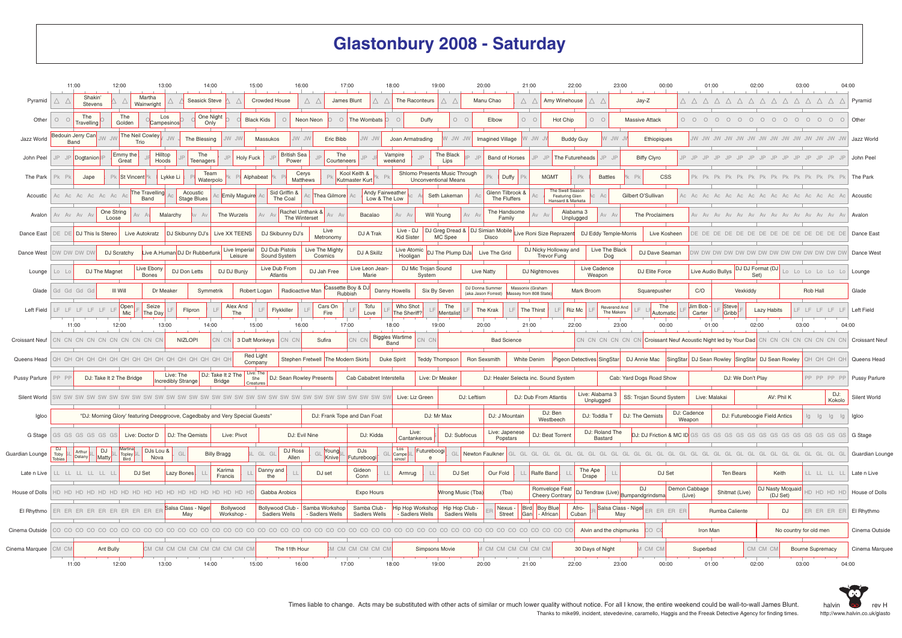## **Glastonbury 2008 - Saturday**

|                       | 11:00                            | 12:00                    |                         | 13:00                                                                        | 14:00                        | 15:00                       | 16:00                             | 17:00                              |                                   | 18:00                                    | 19:00                                                        | 20:00                                  |                                  | 21:00                                       | 22:00                                                   |                            | 23:00                                  | 00:00                   | 01:00                   |                                                                    | 02:00                                           | 03:00<br>04:00                   |                       |
|-----------------------|----------------------------------|--------------------------|-------------------------|------------------------------------------------------------------------------|------------------------------|-----------------------------|-----------------------------------|------------------------------------|-----------------------------------|------------------------------------------|--------------------------------------------------------------|----------------------------------------|----------------------------------|---------------------------------------------|---------------------------------------------------------|----------------------------|----------------------------------------|-------------------------|-------------------------|--------------------------------------------------------------------|-------------------------------------------------|----------------------------------|-----------------------|
| Pyramid               | Shakin<br>Δ.<br>Stevens          |                          | Martha<br>Wainwright    |                                                                              | <b>Seasick Steve</b>         | <b>Crowded House</b>        | Δ                                 | Δ<br>James Blunt                   |                                   | The Raconteurs                           |                                                              | Manu Chao                              |                                  | ΔΔ                                          | Amy Winehouse                                           | Δ.                         | Jay-Z                                  |                         |                         |                                                                    |                                                 | Δ Δ Δ Δ Δ Δ Δ Δ Δ Δ Δ Δ Δ        | Pyramid               |
| Other                 | The<br>$0$ 0<br>Travelling       | The<br>Golden            | Campesinos              | Los                                                                          | One Night<br>Only            | <b>Black Kids</b>           | $\circ$<br>Neon Neon              | $\circ$                            | The Wombats                       |                                          | Duffy                                                        | $O$ $O$                                | Elbow                            | $O$ $O$                                     | Hot Chip                                                | 0 <sup>o</sup>             | <b>Massive Attack</b>                  |                         |                         |                                                                    |                                                 | 0 0 0 0 0 0 0 0 0 0 0 0 0 0 0    | Other                 |
| Jazz World            | Bedouin Jerry Canl<br>Band       | <b>JW JW</b>             | The Neil Cowley<br>Trio | <b>JW</b><br>The Blessing                                                    | JW JW                        | Massukos                    | JW JW                             | Eric Bibb                          | JW JW                             | Joan Armatrading                         | JW JW                                                        |                                        | Imagined Village                 | WU W                                        | <b>Buddy Guy</b>                                        | W JW                       |                                        | Ethiopiques             |                         |                                                                    |                                                 |                                  | Jazz World            |
| John Peel             | JP Dogtanion                     | Emmy the<br>Great        | Hilltop<br>Hoods        | The                                                                          | <b>Teenagers</b>             | <b>Holy Fuck</b>            | <b>British Sea</b><br>Power       | The<br>Courteneers                 |                                   | Vampire<br>weekend                       | The Black<br>Lips                                            |                                        | <b>Band of Horses</b>            | $IP$ $IF$                                   | The Futureheads                                         | IP                         | <b>Biffy Clyro</b>                     |                         | $IP$ $IP$ $IP$          |                                                                    | $IP$ . IP<br>IP                                 | $IP$ , $IP$ , $IP$ , $IP$ , $IP$ | John Peel             |
| The Park              | P <sub>k</sub><br>Jape           |                          | Pk St Vincent           | Lykke Li                                                                     | Team<br>Waterpolo            | Alphabeat                   | Cerys<br>Matthews                 |                                    | Kool Keith &<br>Kutmaster Kurt    |                                          | Shlomo Presents Music Through<br><b>Unconventional Means</b> |                                        | Duffy                            | <b>MGMT</b>                                 | Pk                                                      | <b>Battles</b>             |                                        | <b>CSS</b>              |                         |                                                                    |                                                 |                                  | The Park              |
| Acoustic              | Ac Ac Ac Ac Ac A                 |                          | The Travelling<br>Band  | Acoustic<br><b>Stage Blues</b>                                               | <b>Emily Maguire</b>         |                             | Sid Griffin &<br>The Coal         | Thea Gilmore                       | Andy Fairweather<br>Low & The Low |                                          | Seth Lakeman                                                 |                                        | Glenn Tilbrook &<br>The Fluffers |                                             | The Swell Season<br>Featuring Glen<br>lansard & Marketa |                            | Gilbert O'Sullivan                     |                         | Ac Ac Ac Ac             |                                                                    | Ac<br>Ac                                        | Ac Ac Ac Ac                      | Acoustic              |
| Avalon                | Av Av Av A                       | One String<br>Loose      |                         | Malarchy                                                                     | The Wurzels                  |                             | Rachel Unthank &<br>The Winterset |                                    | Bacalao                           | $Av$ $Av$                                | <b>Will Young</b>                                            | AvA                                    | The Handsome<br>Family           |                                             | Alabama 3<br>Unplugged                                  | Av                         | The Proclaimers                        |                         |                         |                                                                    |                                                 |                                  | Avalon                |
| Dance East            | DE DE DJ This Is Stereo          |                          | Live Autokratz          | DJ Skibunny DJ's                                                             | Live XX TEENS                |                             | DJ Skibunny DJ's                  | Live<br>Metronomy                  | DJ A Trak                         | Live - DJ<br><b>Kid Sister</b>           | DJ Greg Dread &   DJ Simian Mobile<br>MC Spee                | Disco                                  |                                  | ive Roni Size Reprazent                     |                                                         | DJ Eddy Temple-Morris      |                                        | Live Kosheen            | DE DE DE DE             |                                                                    |                                                 | DE DE DE DE DE DE DE DE DE       | Dance East            |
| Dance West            | DW DW DW DW                      | DJ Scratchy              |                         | Live A.Human DJ Dr Rubberfunk                                                | Live Imperial<br>Leisure     | Sound System                | DJ Dub Pistols                    | Live The Mighty<br>Cosmics         | DJ A Skillz                       | Live Atomic<br>Hooligan                  | DJ The Plump DJs                                             |                                        | Live The Grid                    | DJ Nicky Holloway and<br><b>Trevor Fung</b> |                                                         | Live The Black<br>Dog      |                                        | DJ Dave Seaman          |                         |                                                                    |                                                 |                                  | Dance West            |
| Lounge                | $\overline{a}$                   | DJ The Magnet            | Live Ebony<br>Bones     | DJ Don Letts                                                                 | DJ DJ Bunjy                  | Atlantis                    | Live Dub From                     | DJ Jah Free                        | Live Leon Jean-<br>Marie          |                                          | DJ Mic Trojan Sound<br>System                                | <b>Live Natty</b>                      |                                  | DJ Nightmoves                               |                                                         | Live Cadence<br>Weapon     |                                        | DJ Elite Force          | Live Audio Bullys       | DJ DJ Format (DJ                                                   | Set)                                            | Lo Lo Lo Lo Lo Lo                | Lounge                |
| Glade                 | Gd Gd Gd Gc                      | <b>III Will</b>          |                         | Dr Meaker                                                                    | Symmetrik                    | Robert Logan                | Radioactive Man                   | Cassette Boy & DJ<br>Rubbish       |                                   | Danny Howells                            | Six By Seven                                                 | DJ Donna Summer<br>(aka Jason Forrest) |                                  | Massonix (Graham<br>Massey from 808 State   | Mark Broom                                              |                            | Squarepusher                           |                         | C/O                     | Vexkiddy                                                           |                                                 | Rob Hall                         | Glade                 |
| Left Field            | LF LF LF LF LF LF                |                          | Open<br>Seize           | Flipron                                                                      | Alex And                     |                             | Flykkiller<br>LF                  | Cars On                            | Tofu                              | Who Shot                                 | The                                                          | The Krak                               | LF                               | LF<br>The Thirst                            | Riz Mc                                                  | Reverend And<br>The Makers |                                        | The                     | Jim Bob                 | <b>Steve</b>                                                       | Lazy Habits                                     | LF LF LF LF LF                   | Left Field            |
|                       | 11:00                            | 12:00                    | Mic<br>The Day          | 13:00                                                                        | The<br>14:00                 | 15:00                       | 16:00                             | Fire<br>17:00                      | Love                              | The Sheriff?<br>18:00                    | Mentalist<br>19:00                                           | 20:00                                  |                                  | 21:00                                       | 22:00                                                   |                            | 23:00                                  | Automatic<br>00:00      | Carter<br>01:00         | Gribb <sup>1</sup>                                                 | 02:00                                           | 03:00<br>04:00                   |                       |
| <b>Croissant Neuf</b> | CN CN CN CN CN CN CN CN CN CN CN |                          |                         | <b>NIZLOPI</b>                                                               | CN CN                        | 3 Daft Monkeys              | CN CN                             | Sufira                             | CN CI                             | <b>Biggles Wartime</b><br>Band           | CN CN                                                        |                                        | <b>Bad Science</b>               |                                             |                                                         |                            |                                        |                         |                         | CN CN CN CN CN CN CN Croissant Neuf Acoustic Night led by Your Dad |                                                 | CN CN CN CN CN CN CN CN          | <b>Croissant Neuf</b> |
| Queens Head           |                                  |                          |                         |                                                                              |                              | <b>Red Light</b><br>Company |                                   | Stephen Fretwell The Modern Skirts |                                   | Duke Spirit                              | <b>Teddy Thompson</b>                                        | Ron Sexsmith                           |                                  | White Denim                                 |                                                         | Pigeon Detectives SingStar | DJ Annie Mac                           |                         |                         |                                                                    | SingStar DJ Sean Rowley SingStar DJ Sean Rowley | QH QH QH QH                      | Queens Head           |
| <b>Pussy Parlure</b>  | PP PF                            | DJ: Take It 2 The Bridge |                         | Live: The<br><b>Incredibly Strange</b>                                       | DJ: Take It 2 The<br>Bridge  | Live: The<br>She            | DJ: Sean Rowley Presents          |                                    | Cab Cababret Interstella          |                                          | Live: Dr Meaker                                              |                                        |                                  | DJ: Healer Selecta inc. Sound System        |                                                         |                            | Cab: Yard Dogs Road Show               |                         |                         | DJ: We Don't Play                                                  |                                                 | PP PP PP PP                      | <b>Pussy Parlure</b>  |
| Silent World          |                                  |                          |                         |                                                                              |                              | Creatures                   |                                   |                                    |                                   | Live: Liz Green                          |                                                              | DJ: Leftism                            |                                  | DJ: Dub From Atlantis                       |                                                         | Live: Alabama 3            |                                        | SS: Trojan Sound System | Live: Malakai           |                                                                    | AV: Phil K                                      | DJ:<br>Kokolo                    | Silent World          |
| Igloo                 |                                  |                          |                         | "DJ: Morning Glory' featuring Deepgroove, Cagedbaby and Very Special Guests' |                              |                             |                                   | DJ: Frank Tope and Dan Foat        |                                   |                                          | DJ: Mr Max                                                   |                                        | DJ: J Mountain                   | DJ: Ben                                     |                                                         | Unplugged<br>DJ: Toddla T  | DJ: The Qemists                        |                         | DJ: Cadence             | DJ: Futureboogie Field Antics                                      |                                                 | lg lg lg lg                      | Igloo                 |
| G Stage               | GS GS GS GS GS GS                |                          | Live: Doctor D          | DJ: The Qemists                                                              | Live: Pivot                  |                             | DJ: Evil Nine                     |                                    | DJ: Kidda                         | Live:                                    |                                                              | DJ: Subfocus                           | Live: Japenese                   | Westbeech<br>DJ: Beat Torrent               |                                                         | DJ: Roland The             |                                        |                         | Weapon                  |                                                                    |                                                 |                                  | G Stage               |
|                       | <b>DJ</b><br>Arthur              | DJ                       | Martina<br>DJs Lou &    |                                                                              |                              |                             | DJ Ross                           | Young                              | DJs                               | Cantankerous<br>Los                      | Futureboogi                                                  |                                        | Popstars                         |                                             |                                                         | Bastard                    |                                        |                         |                         |                                                                    |                                                 |                                  |                       |
| Guardian Lounge       | Toby<br>Delany<br>Tobias         | Matty                    | Topley<br>Bird<br>Nova  | GL                                                                           | <b>Billy Bragg</b><br>Karima | GL GL<br>Danny and          | Allen                             | Knive                              | Futureboogi<br>Gideon             | Campel<br>sinos!                         | GL<br>$\epsilon$                                             |                                        |                                  |                                             |                                                         | The Ape                    |                                        |                         |                         |                                                                    |                                                 |                                  | Guardian Lounge       |
| Late n Live           | LL LL LL LL LL L                 |                          | DJ Set                  | azy Bones                                                                    | Francis                      | the                         | $\Box$                            | DJ set                             | Conn                              | Armrug                                   |                                                              | DJ Set                                 | Our Fold                         | Ralfe Band                                  |                                                         | Drape                      |                                        | DJ Set                  |                         | Ten Bears                                                          | Keith                                           | LL LL LL LL                      | Late n Live           |
| House of Dolls        |                                  |                          |                         |                                                                              |                              | Gabba Arobics               |                                   |                                    | Expo Hours                        |                                          |                                                              | Wrong Music (Tba)                      | (Tba)                            | Romvelope Feat<br><b>Cheery Contrary</b>    |                                                         |                            | DJ<br>DJ Tendraw (Live) Bumpandgrindsm |                         | Demon Cabbage<br>(Live) | Shitmat (Live)                                                     | DJ Nasty Mcquaid<br>(DJ Set)                    | HD HD HD HD                      | House of Dolls        |
| El Rhythmo            | ER ER ER ER ER ER ER ER ER ER    |                          |                         | Salsa Class - Nigel<br>May                                                   | Bollywood<br>Workshop        | Bollywood Club -            | Sadlers Wells                     | Samba Workshop<br>Sadlers Wells    | Samba Club -<br>Sadlers Wells     | Hip Hop Workshop<br><b>Sadlers Wells</b> | Hip Hop Club -                                               | Sadlers Wells                          | Nexus -<br>Street                | Bird Boy Blue<br>Gan<br>- African           | Afro-<br>Cuban                                          |                            | Salsa Class - Nigel<br>May             | ER ER ER ER             |                         | Rumba Caliente                                                     | DJ                                              | ER ER ER ER EI Rhythmo           |                       |
| Cinema Outside        |                                  |                          |                         |                                                                              |                              |                             |                                   |                                    |                                   |                                          |                                                              |                                        |                                  |                                             |                                                         | Alvin and the chipmunks    | CO C                                   |                         | Iron Man                |                                                                    |                                                 | No country for old men           | Cinema Outside        |
| Cinema Marquee        | CM CM                            | Ant Bully                |                         | CM CM CM CM CM CM CM CM CM CM                                                |                              |                             | The 11th Hour                     |                                    | M CM CM CM CM CM                  |                                          | Simpsons Movie                                               |                                        | CM CM CM CM CM CM                |                                             |                                                         | 30 Days of Night           | CM CM                                  |                         | Superbad                |                                                                    | CM CM CM                                        | <b>Bourne Supremacy</b>          | Cinema Marquee        |
|                       | 11:00                            | 12:00                    |                         | 13:00                                                                        | 14:00                        | 15:00                       | 16:00                             | 17:00                              |                                   | 18:00                                    | 19:00                                                        | 20:00                                  |                                  | 21:00                                       | 22:00                                                   |                            | 23:00                                  | 00:00                   | 01:00                   |                                                                    | 02:00                                           | 03:00<br>04:00                   |                       |